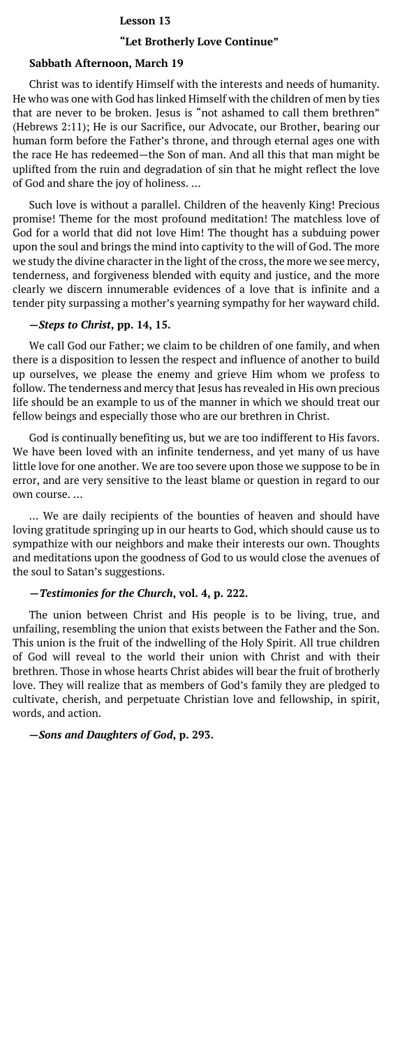# **Lesson 13**

# **"Let Brotherly Love Continue"**

#### **Sabbath Afternoon, March 19**

Christ was to identify Himself with the interests and needs of humanity. He who was one with God has linked Himself with the children of men by ties that are never to be broken. Jesus is "not ashamed to call them brethren" (Hebrews 2:11); He is our Sacrifice, our Advocate, our Brother, bearing our human form before the Father's throne, and through eternal ages one with the race He has redeemed—the Son of man. And all this that man might be uplifted from the ruin and degradation of sin that he might reflect the love of God and share the joy of holiness. …

Such love is without a parallel. Children of the heavenly King! Precious promise! Theme for the most profound meditation! The matchless love of God for a world that did not love Him! The thought has a subduing power upon the soul and brings the mind into captivity to the will of God. The more we study the divine character in the light of the cross, the more we see mercy, tenderness, and forgiveness blended with equity and justice, and the more clearly we discern innumerable evidences of a love that is infinite and a tender pity surpassing a mother's yearning sympathy for her wayward child.

# **—***Steps to Christ***, pp. 14, 15.**

We call God our Father; we claim to be children of one family, and when there is a disposition to lessen the respect and influence of another to build up ourselves, we please the enemy and grieve Him whom we profess to follow. The tenderness and mercy that Jesus has revealed in His own precious life should be an example to us of the manner in which we should treat our fellow beings and especially those who are our brethren in Christ.

God is continually benefiting us, but we are too indifferent to His favors. We have been loved with an infinite tenderness, and yet many of us have little love for one another. We are too severe upon those we suppose to be in error, and are very sensitive to the least blame or question in regard to our own course. …

… We are daily recipients of the bounties of heaven and should have loving gratitude springing up in our hearts to God, which should cause us to sympathize with our neighbors and make their interests our own. Thoughts and meditations upon the goodness of God to us would close the avenues of the soul to Satan's suggestions.

#### **—***Testimonies for the Church***, vol. 4, p. 222.**

The union between Christ and His people is to be living, true, and unfailing, resembling the union that exists between the Father and the Son. This union is the fruit of the indwelling of the Holy Spirit. All true children of God will reveal to the world their union with Christ and with their brethren. Those in whose hearts Christ abides will bear the fruit of brotherly love. They will realize that as members of God's family they are pledged to cultivate, cherish, and perpetuate Christian love and fellowship, in spirit, words, and action.

# **—***Sons and Daughters of God***, p. 293.**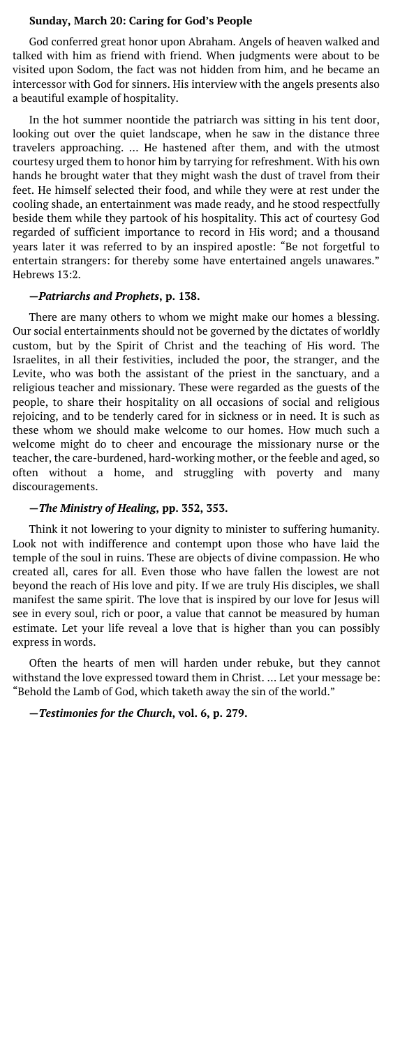#### **Sunday, March 20: Caring for God's People**

God conferred great honor upon Abraham. Angels of heaven walked and talked with him as friend with friend. When judgments were about to be visited upon Sodom, the fact was not hidden from him, and he became an intercessor with God for sinners. His interview with the angels presents also a beautiful example of hospitality.

In the hot summer noontide the patriarch was sitting in his tent door, looking out over the quiet landscape, when he saw in the distance three travelers approaching. … He hastened after them, and with the utmost courtesy urged them to honor him by tarrying for refreshment. With his own hands he brought water that they might wash the dust of travel from their feet. He himself selected their food, and while they were at rest under the cooling shade, an entertainment was made ready, and he stood respectfully beside them while they partook of his hospitality. This act of courtesy God regarded of sufficient importance to record in His word; and a thousand years later it was referred to by an inspired apostle: "Be not forgetful to entertain strangers: for thereby some have entertained angels unawares." Hebrews 13:2.

#### **—***Patriarchs and Prophets***, p. 138.**

There are many others to whom we might make our homes a blessing. Our social entertainments should not be governed by the dictates of worldly custom, but by the Spirit of Christ and the teaching of His word. The Israelites, in all their festivities, included the poor, the stranger, and the Levite, who was both the assistant of the priest in the sanctuary, and a religious teacher and missionary. These were regarded as the guests of the people, to share their hospitality on all occasions of social and religious rejoicing, and to be tenderly cared for in sickness or in need. It is such as these whom we should make welcome to our homes. How much such a welcome might do to cheer and encourage the missionary nurse or the teacher, the care-burdened, hard-working mother, or the feeble and aged, so often without a home, and struggling with poverty and many discouragements.

# **—***The Ministry of Healing***, pp. 352, 353.**

Think it not lowering to your dignity to minister to suffering humanity. Look not with indifference and contempt upon those who have laid the temple of the soul in ruins. These are objects of divine compassion. He who created all, cares for all. Even those who have fallen the lowest are not beyond the reach of His love and pity. If we are truly His disciples, we shall manifest the same spirit. The love that is inspired by our love for Jesus will see in every soul, rich or poor, a value that cannot be measured by human estimate. Let your life reveal a love that is higher than you can possibly express in words.

Often the hearts of men will harden under rebuke, but they cannot withstand the love expressed toward them in Christ. … Let your message be: "Behold the Lamb of God, which taketh away the sin of the world."

# **—***Testimonies for the Church***, vol. 6, p. 279.**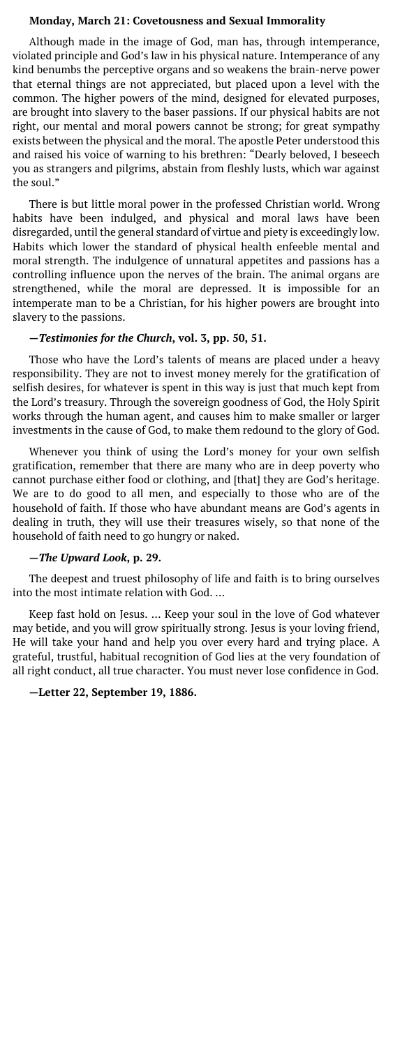# **Monday, March 21: Covetousness and Sexual Immorality**

Although made in the image of God, man has, through intemperance, violated principle and God's law in his physical nature. Intemperance of any kind benumbs the perceptive organs and so weakens the brain-nerve power that eternal things are not appreciated, but placed upon a level with the common. The higher powers of the mind, designed for elevated purposes, are brought into slavery to the baser passions. If our physical habits are not right, our mental and moral powers cannot be strong; for great sympathy exists between the physical and the moral. The apostle Peter understood this and raised his voice of warning to his brethren: "Dearly beloved, I beseech you as strangers and pilgrims, abstain from fleshly lusts, which war against the soul."

There is but little moral power in the professed Christian world. Wrong habits have been indulged, and physical and moral laws have been disregarded, until the general standard of virtue and piety is exceedingly low. Habits which lower the standard of physical health enfeeble mental and moral strength. The indulgence of unnatural appetites and passions has a controlling influence upon the nerves of the brain. The animal organs are strengthened, while the moral are depressed. It is impossible for an intemperate man to be a Christian, for his higher powers are brought into slavery to the passions.

# **—***Testimonies for the Church***, vol. 3, pp. 50, 51.**

Those who have the Lord's talents of means are placed under a heavy responsibility. They are not to invest money merely for the gratification of selfish desires, for whatever is spent in this way is just that much kept from the Lord's treasury. Through the sovereign goodness of God, the Holy Spirit works through the human agent, and causes him to make smaller or larger investments in the cause of God, to make them redound to the glory of God.

Whenever you think of using the Lord's money for your own selfish gratification, remember that there are many who are in deep poverty who cannot purchase either food or clothing, and [that] they are God's heritage. We are to do good to all men, and especially to those who are of the household of faith. If those who have abundant means are God's agents in dealing in truth, they will use their treasures wisely, so that none of the household of faith need to go hungry or naked.

#### **—***The Upward Look***, p. 29.**

The deepest and truest philosophy of life and faith is to bring ourselves into the most intimate relation with God. …

Keep fast hold on Jesus. … Keep your soul in the love of God whatever may betide, and you will grow spiritually strong. Jesus is your loving friend, He will take your hand and help you over every hard and trying place. A grateful, trustful, habitual recognition of God lies at the very foundation of all right conduct, all true character. You must never lose confidence in God.

# **—Letter 22, September 19, 1886.**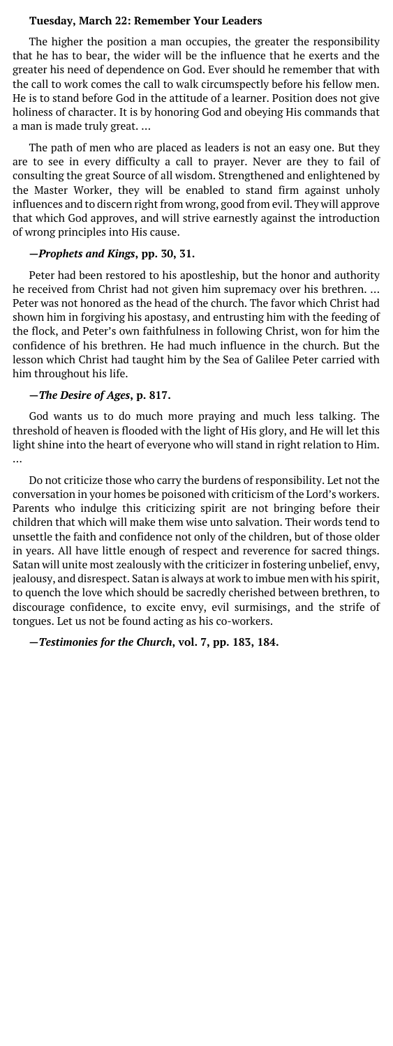#### **Tuesday, March 22: Remember Your Leaders**

The higher the position a man occupies, the greater the responsibility that he has to bear, the wider will be the influence that he exerts and the greater his need of dependence on God. Ever should he remember that with the call to work comes the call to walk circumspectly before his fellow men. He is to stand before God in the attitude of a learner. Position does not give holiness of character. It is by honoring God and obeying His commands that a man is made truly great. …

The path of men who are placed as leaders is not an easy one. But they are to see in every difficulty a call to prayer. Never are they to fail of consulting the great Source of all wisdom. Strengthened and enlightened by the Master Worker, they will be enabled to stand firm against unholy influences and to discern right from wrong, good from evil. They will approve that which God approves, and will strive earnestly against the introduction of wrong principles into His cause.

# **—***Prophets and Kings***, pp. 30, 31.**

Peter had been restored to his apostleship, but the honor and authority he received from Christ had not given him supremacy over his brethren. … Peter was not honored as the head of the church. The favor which Christ had shown him in forgiving his apostasy, and entrusting him with the feeding of the flock, and Peter's own faithfulness in following Christ, won for him the confidence of his brethren. He had much influence in the church. But the lesson which Christ had taught him by the Sea of Galilee Peter carried with him throughout his life.

# **—***The Desire of Ages***, p. 817.**

God wants us to do much more praying and much less talking. The threshold of heaven is flooded with the light of His glory, and He will let this light shine into the heart of everyone who will stand in right relation to Him. …

Do not criticize those who carry the burdens of responsibility. Let not the conversation in your homes be poisoned with criticism of the Lord's workers. Parents who indulge this criticizing spirit are not bringing before their children that which will make them wise unto salvation. Their words tend to unsettle the faith and confidence not only of the children, but of those older in years. All have little enough of respect and reverence for sacred things. Satan will unite most zealously with the criticizer in fostering unbelief, envy, jealousy, and disrespect. Satan is always at work to imbue men with his spirit, to quench the love which should be sacredly cherished between brethren, to discourage confidence, to excite envy, evil surmisings, and the strife of tongues. Let us not be found acting as his co-workers.

**—***Testimonies for the Church***, vol. 7, pp. 183, 184.**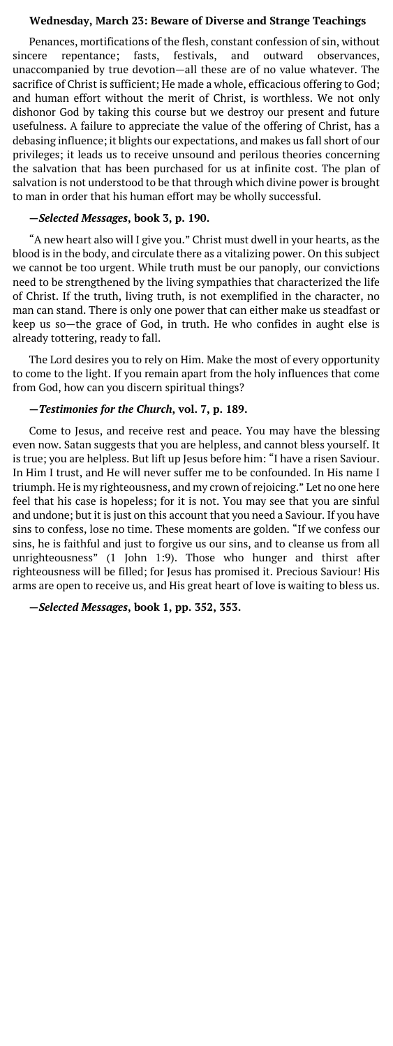#### **Wednesday, March 23: Beware of Diverse and Strange Teachings**

Penances, mortifications of the flesh, constant confession of sin, without sincere repentance; fasts, festivals, and outward observances, unaccompanied by true devotion—all these are of no value whatever. The sacrifice of Christ is sufficient; He made a whole, efficacious offering to God; and human effort without the merit of Christ, is worthless. We not only dishonor God by taking this course but we destroy our present and future usefulness. A failure to appreciate the value of the offering of Christ, has a debasing influence; it blights our expectations, and makes us fall short of our privileges; it leads us to receive unsound and perilous theories concerning the salvation that has been purchased for us at infinite cost. The plan of salvation is not understood to be that through which divine power is brought to man in order that his human effort may be wholly successful.

# **—***Selected Messages***, book 3, p. 190.**

"A new heart also will I give you." Christ must dwell in your hearts, as the blood is in the body, and circulate there as a vitalizing power. On this subject we cannot be too urgent. While truth must be our panoply, our convictions need to be strengthened by the living sympathies that characterized the life of Christ. If the truth, living truth, is not exemplified in the character, no man can stand. There is only one power that can either make us steadfast or keep us so—the grace of God, in truth. He who confides in aught else is already tottering, ready to fall.

The Lord desires you to rely on Him. Make the most of every opportunity to come to the light. If you remain apart from the holy influences that come from God, how can you discern spiritual things?

# **—***Testimonies for the Church***, vol. 7, p. 189.**

Come to Jesus, and receive rest and peace. You may have the blessing even now. Satan suggests that you are helpless, and cannot bless yourself. It is true; you are helpless. But lift up Jesus before him: "I have a risen Saviour. In Him I trust, and He will never suffer me to be confounded. In His name I triumph. He is my righteousness, and my crown of rejoicing." Let no one here feel that his case is hopeless; for it is not. You may see that you are sinful and undone; but it is just on this account that you need a Saviour. If you have sins to confess, lose no time. These moments are golden. "If we confess our sins, he is faithful and just to forgive us our sins, and to cleanse us from all unrighteousness" (1 John 1:9). Those who hunger and thirst after righteousness will be filled; for Jesus has promised it. Precious Saviour! His arms are open to receive us, and His great heart of love is waiting to bless us.

**—***Selected Messages***, book 1, pp. 352, 353.**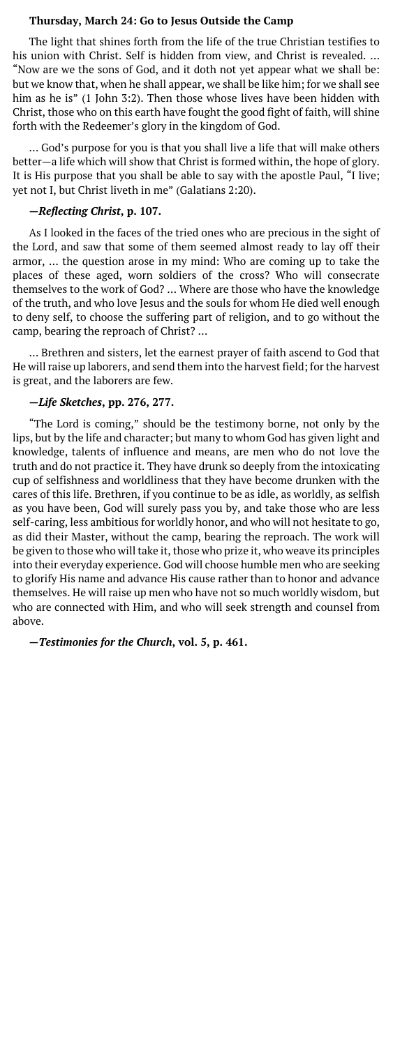#### **Thursday, March 24: Go to Jesus Outside the Camp**

The light that shines forth from the life of the true Christian testifies to his union with Christ. Self is hidden from view, and Christ is revealed. … "Now are we the sons of God, and it doth not yet appear what we shall be: but we know that, when he shall appear, we shall be like him; for we shall see him as he is" (1 John 3:2). Then those whose lives have been hidden with Christ, those who on this earth have fought the good fight of faith, will shine forth with the Redeemer's glory in the kingdom of God.

… God's purpose for you is that you shall live a life that will make others better—a life which will show that Christ is formed within, the hope of glory. It is His purpose that you shall be able to say with the apostle Paul, "I live; yet not I, but Christ liveth in me" (Galatians 2:20).

#### **—***Reflecting Christ***, p. 107.**

As I looked in the faces of the tried ones who are precious in the sight of the Lord, and saw that some of them seemed almost ready to lay off their armor, … the question arose in my mind: Who are coming up to take the places of these aged, worn soldiers of the cross? Who will consecrate themselves to the work of God? … Where are those who have the knowledge of the truth, and who love Jesus and the souls for whom He died well enough to deny self, to choose the suffering part of religion, and to go without the camp, bearing the reproach of Christ? …

… Brethren and sisters, let the earnest prayer of faith ascend to God that He will raise up laborers, and send them into the harvest field; for the harvest is great, and the laborers are few.

#### **—***Life Sketches***, pp. 276, 277.**

"The Lord is coming," should be the testimony borne, not only by the lips, but by the life and character; but many to whom God has given light and knowledge, talents of influence and means, are men who do not love the truth and do not practice it. They have drunk so deeply from the intoxicating cup of selfishness and worldliness that they have become drunken with the cares of this life. Brethren, if you continue to be as idle, as worldly, as selfish as you have been, God will surely pass you by, and take those who are less self-caring, less ambitious for worldly honor, and who will not hesitate to go, as did their Master, without the camp, bearing the reproach. The work will be given to those who will take it, those who prize it, who weave its principles into their everyday experience. God will choose humble men who are seeking to glorify His name and advance His cause rather than to honor and advance themselves. He will raise up men who have not so much worldly wisdom, but who are connected with Him, and who will seek strength and counsel from above.

**—***Testimonies for the Church***, vol. 5, p. 461.**